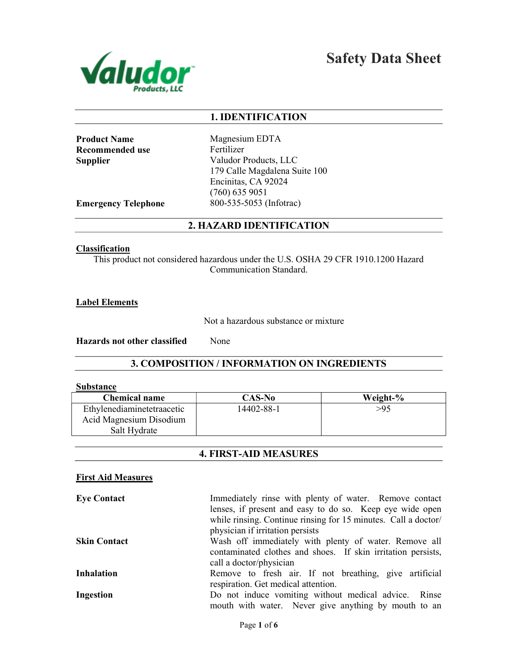

Safety Data Sheet

# 1. IDENTIFICATION

Product Name Magnesium EDTA Recommended use Fertilizer

Supplier Valudor Products, LLC 179 Calle Magdalena Suite 100 Encinitas, CA 92024 (760) 635 9051 Emergency Telephone 800-535-5053 (Infotrac)

## 2. HAZARD IDENTIFICATION

#### **Classification**

This product not considered hazardous under the U.S. OSHA 29 CFR 1910.1200 Hazard Communication Standard.

Label Elements

Not a hazardous substance or mixture

Hazards not other classified None

# 3. COMPOSITION / INFORMATION ON INGREDIENTS

#### Substance

| <b>Chemical name</b>       | CAS-No     | Weight-% |
|----------------------------|------------|----------|
| Ethylenediaminetetraacetic | 14402-88-1 | >95      |
| Acid Magnesium Disodium    |            |          |
| Salt Hydrate               |            |          |

## 4. FIRST-AID MEASURES

#### First Aid Measures

| <b>Eye Contact</b>  | Immediately rinse with plenty of water. Remove contact                                                                |
|---------------------|-----------------------------------------------------------------------------------------------------------------------|
|                     | lenses, if present and easy to do so. Keep eye wide open                                                              |
|                     | while rinsing. Continue rinsing for 15 minutes. Call a doctor/                                                        |
|                     | physician if irritation persists                                                                                      |
| <b>Skin Contact</b> | Wash off immediately with plenty of water. Remove all<br>contaminated clothes and shoes. If skin irritation persists, |
|                     | call a doctor/physician                                                                                               |
| <b>Inhalation</b>   | Remove to fresh air. If not breathing, give artificial<br>respiration. Get medical attention.                         |
| Ingestion           | Do not induce vomiting without medical advice. Rinse                                                                  |
|                     | mouth with water. Never give anything by mouth to an                                                                  |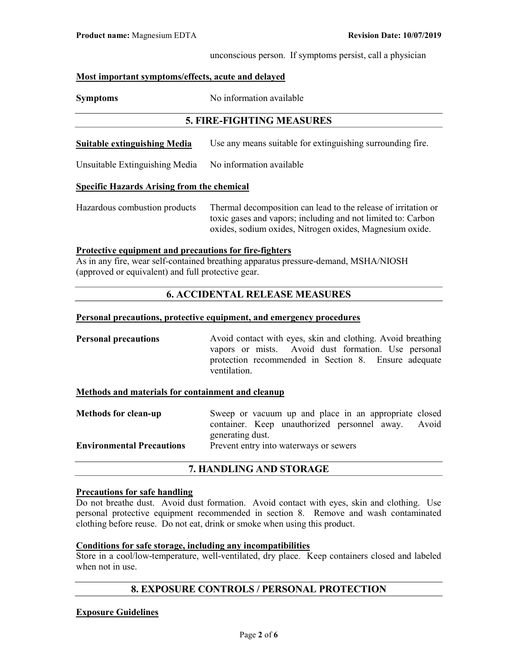unconscious person. If symptoms persist, call a physician

## Most important symptoms/effects, acute and delayed

Symptoms No information available

# 5. FIRE-FIGHTING MEASURES

Suitable extinguishing Media Use any means suitable for extinguishing surrounding fire.

Unsuitable Extinguishing Media No information available

# Specific Hazards Arising from the chemical

Hazardous combustion products Thermal decomposition can lead to the release of irritation or toxic gases and vapors; including and not limited to: Carbon oxides, sodium oxides, Nitrogen oxides, Magnesium oxide.

## Protective equipment and precautions for fire-fighters

As in any fire, wear self-contained breathing apparatus pressure-demand, MSHA/NIOSH (approved or equivalent) and full protective gear.

# 6. ACCIDENTAL RELEASE MEASURES

## Personal precautions, protective equipment, and emergency procedures

**Personal precautions** Avoid contact with eyes, skin and clothing. Avoid breathing vapors or mists. Avoid dust formation. Use personal protection recommended in Section 8. Ensure adequate ventilation.

## Methods and materials for containment and cleanup

| <b>Methods for clean-up</b>      | Sweep or vacuum up and place in an appropriate closed |  |
|----------------------------------|-------------------------------------------------------|--|
|                                  | container. Keep unauthorized personnel away. Avoid    |  |
|                                  | generating dust.                                      |  |
| <b>Environmental Precautions</b> | Prevent entry into waterways or sewers                |  |

## 7. HANDLING AND STORAGE

## Precautions for safe handling

Do not breathe dust. Avoid dust formation. Avoid contact with eyes, skin and clothing. Use personal protective equipment recommended in section 8. Remove and wash contaminated clothing before reuse. Do not eat, drink or smoke when using this product.

# Conditions for safe storage, including any incompatibilities

Store in a cool/low-temperature, well-ventilated, dry place. Keep containers closed and labeled when not in use.

## 8. EXPOSURE CONTROLS / PERSONAL PROTECTION

## Exposure Guidelines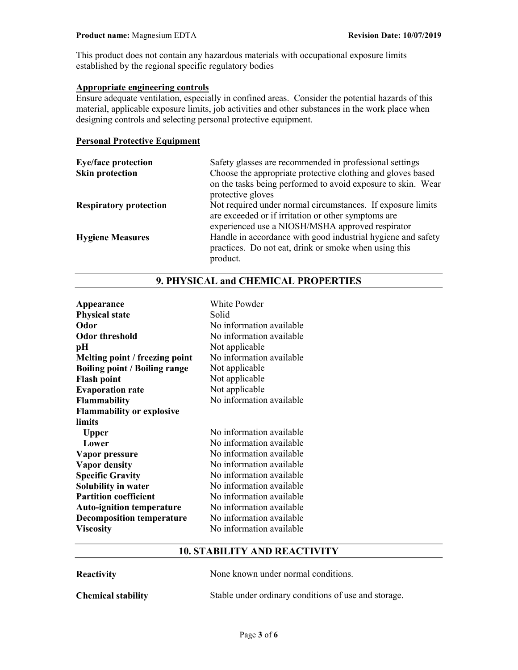This product does not contain any hazardous materials with occupational exposure limits established by the regional specific regulatory bodies

# Appropriate engineering controls

Ensure adequate ventilation, especially in confined areas. Consider the potential hazards of this material, applicable exposure limits, job activities and other substances in the work place when designing controls and selecting personal protective equipment.

## Personal Protective Equipment

| <b>Eye/face protection</b>    | Safety glasses are recommended in professional settings                           |
|-------------------------------|-----------------------------------------------------------------------------------|
| <b>Skin protection</b>        | Choose the appropriate protective clothing and gloves based                       |
|                               | on the tasks being performed to avoid exposure to skin. Wear<br>protective gloves |
|                               |                                                                                   |
| <b>Respiratory protection</b> | Not required under normal circumstances. If exposure limits                       |
|                               | are exceeded or if irritation or other symptoms are                               |
|                               | experienced use a NIOSH/MSHA approved respirator                                  |
| <b>Hygiene Measures</b>       | Handle in accordance with good industrial hygiene and safety                      |
|                               | practices. Do not eat, drink or smoke when using this                             |
|                               | product.                                                                          |

| Appearance                           | White Powder             |
|--------------------------------------|--------------------------|
| <b>Physical state</b>                | Solid                    |
| Odor                                 | No information available |
| <b>Odor threshold</b>                | No information available |
| pН                                   | Not applicable           |
| Melting point / freezing point       | No information available |
| <b>Boiling point / Boiling range</b> | Not applicable           |
| <b>Flash point</b>                   | Not applicable           |
| <b>Evaporation rate</b>              | Not applicable           |
| Flammability                         | No information available |
| <b>Flammability or explosive</b>     |                          |
| limits                               |                          |
| <b>Upper</b>                         | No information available |
| Lower                                | No information available |
| Vapor pressure                       | No information available |
| <b>Vapor density</b>                 | No information available |
| <b>Specific Gravity</b>              | No information available |
| Solubility in water                  | No information available |
| <b>Partition coefficient</b>         | No information available |
| <b>Auto-ignition temperature</b>     | No information available |
| <b>Decomposition temperature</b>     | No information available |
| <b>Viscosity</b>                     | No information available |

# 9. PHYSICAL and CHEMICAL PROPERTIES

# 10. STABILITY AND REACTIVITY

| Reactivity                | None known under normal conditions.                  |
|---------------------------|------------------------------------------------------|
| <b>Chemical stability</b> | Stable under ordinary conditions of use and storage. |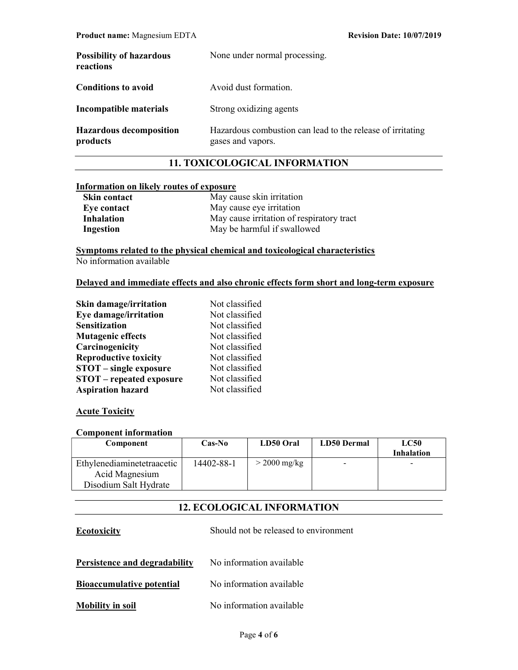| <b>Possibility of hazardous</b><br>reactions | None under normal processing.                                                   |
|----------------------------------------------|---------------------------------------------------------------------------------|
| <b>Conditions to avoid</b>                   | Avoid dust formation.                                                           |
| Incompatible materials                       | Strong oxidizing agents                                                         |
| <b>Hazardous decomposition</b><br>products   | Hazardous combustion can lead to the release of irritating<br>gases and vapors. |

# 11. TOXICOLOGICAL INFORMATION

## Information on likely routes of exposure

| <b>Skin contact</b> | May cause skin irritation                 |
|---------------------|-------------------------------------------|
| Eye contact         | May cause eye irritation                  |
| Inhalation          | May cause irritation of respiratory tract |
| Ingestion           | May be harmful if swallowed               |

Symptoms related to the physical chemical and toxicological characteristics No information available

## Delayed and immediate effects and also chronic effects form short and long-term exposure

| <b>Skin damage/irritation</b>   | Not classified |
|---------------------------------|----------------|
| Eye damage/irritation           | Not classified |
| <b>Sensitization</b>            | Not classified |
| <b>Mutagenic effects</b>        | Not classified |
| Carcinogenicity                 | Not classified |
| <b>Reproductive toxicity</b>    | Not classified |
| <b>STOT</b> – single exposure   | Not classified |
| <b>STOT</b> – repeated exposure | Not classified |
| <b>Aspiration hazard</b>        | Not classified |

## **Acute Toxicity**

## Component information

| Component                  | Cas-No     | LD50 Oral      | <b>LD50 Dermal</b> | <b>LC50</b>       |
|----------------------------|------------|----------------|--------------------|-------------------|
|                            |            |                |                    | <b>Inhalation</b> |
| Ethylenediaminetetraacetic | 14402-88-1 | $>$ 2000 mg/kg |                    |                   |
| Acid Magnesium             |            |                |                    |                   |
| Disodium Salt Hydrate      |            |                |                    |                   |

# 12. ECOLOGICAL INFORMATION

| <b>Ecotoxicity</b>               | Should not be released to environment |
|----------------------------------|---------------------------------------|
| Persistence and degradability    | No information available              |
| <b>Bioaccumulative potential</b> | No information available              |
| <b>Mobility in soil</b>          | No information available              |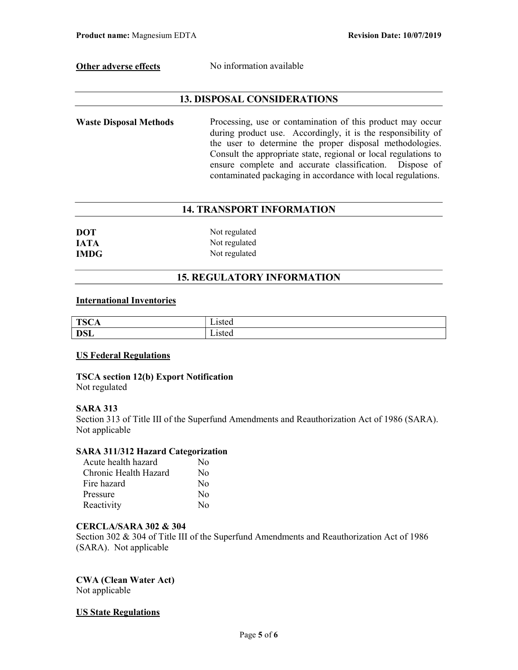Other adverse effects No information available

# 13. DISPOSAL CONSIDERATIONS

Waste Disposal Methods Processing, use or contamination of this product may occur during product use. Accordingly, it is the responsibility of the user to determine the proper disposal methodologies. Consult the appropriate state, regional or local regulations to ensure complete and accurate classification. Dispose of contaminated packaging in accordance with local regulations.

# 14. TRANSPORT INFORMATION

| <b>DOT</b>  | Not regulated |
|-------------|---------------|
| <b>IATA</b> | Not regulated |
| <b>IMDG</b> | Not regulated |

# 15. REGULATORY INFORMATION

## International Inventories

| <b>TSC</b><br>- 17<br>ᆂᄓ<br>◡▴ | www   |
|--------------------------------|-------|
| <b>DSL</b>                     | -1500 |

## US Federal Regulations

TSCA section 12(b) Export Notification Not regulated

## SARA 313

Section 313 of Title III of the Superfund Amendments and Reauthorization Act of 1986 (SARA). Not applicable

## SARA 311/312 Hazard Categorization

| Acute health hazard   | Nο           |
|-----------------------|--------------|
| Chronic Health Hazard | $\rm No$     |
| Fire hazard           | $\rm No$     |
| Pressure              | No           |
| Reactivity            | $N_{\Omega}$ |

## CERCLA/SARA 302 & 304

Section 302 & 304 of Title III of the Superfund Amendments and Reauthorization Act of 1986 (SARA). Not applicable

CWA (Clean Water Act) Not applicable

## US State Regulations